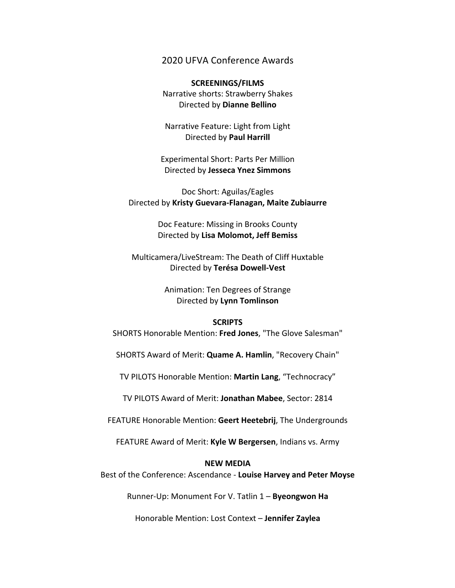# 2020 UFVA Conference Awards

# **SCREENINGS/FILMS** Narrative shorts: Strawberry Shakes Directed by **Dianne Bellino**

Narrative Feature: Light from Light Directed by **Paul Harrill**

Experimental Short: Parts Per Million Directed by **Jesseca Ynez Simmons**

Doc Short: Aguilas/Eagles Directed by **Kristy Guevara-Flanagan, Maite Zubiaurre**

> Doc Feature: Missing in Brooks County Directed by **Lisa Molomot, Jeff Bemiss**

Multicamera/LiveStream: The Death of Cliff Huxtable Directed by **Terésa Dowell-Vest**

> Animation: Ten Degrees of Strange Directed by **Lynn Tomlinson**

#### **SCRIPTS**

SHORTS Honorable Mention: **Fred Jones**, "The Glove Salesman"

SHORTS Award of Merit: **Quame A. Hamlin**, "Recovery Chain"

TV PILOTS Honorable Mention: **Martin Lang**, "Technocracy"

TV PILOTS Award of Merit: **Jonathan Mabee**, Sector: 2814

FEATURE Honorable Mention: **Geert Heetebrij**, The Undergrounds

FEATURE Award of Merit: **Kyle W Bergersen**, Indians vs. Army

## **NEW MEDIA**

Best of the Conference: Ascendance - **Louise Harvey and Peter Moyse**

Runner-Up: Monument For V. Tatlin 1 – **Byeongwon Ha**

Honorable Mention: Lost Context – **Jennifer Zaylea**